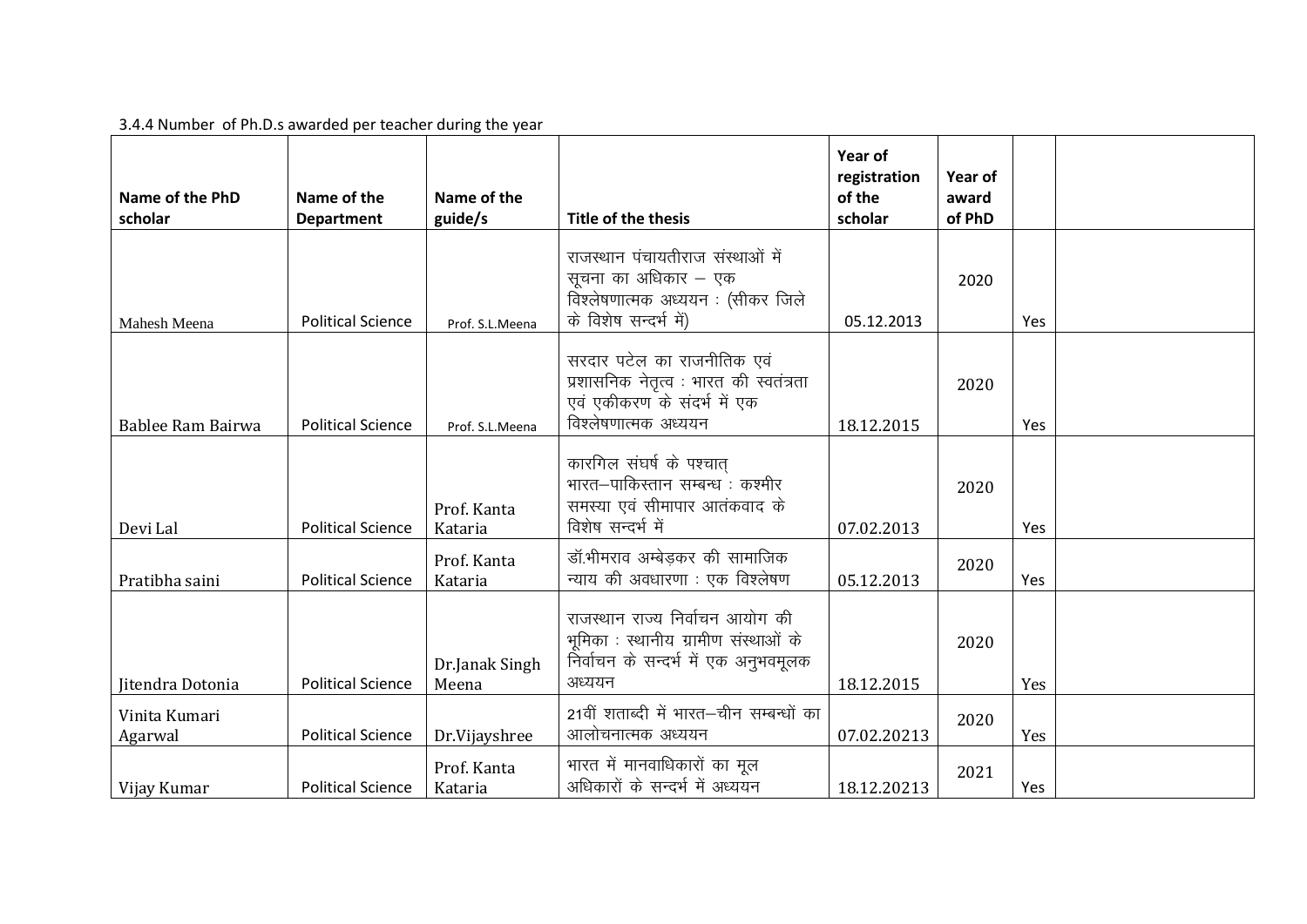## 3.4.4 Number of Ph.D.s awarded per teacher during the year

|                          |                          |                         |                                                                                                                             | Year of<br>registration | Year of |     |  |
|--------------------------|--------------------------|-------------------------|-----------------------------------------------------------------------------------------------------------------------------|-------------------------|---------|-----|--|
| Name of the PhD          | Name of the              | Name of the             |                                                                                                                             | of the                  | award   |     |  |
| scholar                  | <b>Department</b>        | guide/s                 | Title of the thesis                                                                                                         | scholar                 | of PhD  |     |  |
| Mahesh Meena             | <b>Political Science</b> | Prof. S.L.Meena         | राजस्थान पंचायतीराज संस्थाओं में<br>सूचना का अधिकार - एक<br>विश्लेषणात्मक अध्ययन : (सीकर जिले<br>के विशेष सन्दर्भ में)      | 05.12.2013              | 2020    | Yes |  |
| Bablee Ram Bairwa        | <b>Political Science</b> | Prof. S.L.Meena         | सरदार पटेल का राजनीतिक एवं<br>प्रशासनिक नेतृत्व : भारत की स्वतंत्रता<br>एवं एकीकरण के संदर्भ में एक<br>विश्लेषणात्मक अध्ययन | 18.12.2015              | 2020    | Yes |  |
| Devi Lal                 | <b>Political Science</b> | Prof. Kanta<br>Kataria  | कारगिल संघर्ष के पश्चात्<br>भारत–पाकिस्तान सम्बन्ध : कश्मीर<br>समस्या एवं सीमापार आतंकवाद के<br>विशेष सन्दर्भ में           | 07.02.2013              | 2020    | Yes |  |
| Pratibha saini           | <b>Political Science</b> | Prof. Kanta<br>Kataria  | डॉ.भीमराव अम्बेड़कर की सामाजिक<br>न्याय की अवधारणा : एक विश्लेषण                                                            | 05.12.2013              | 2020    | Yes |  |
| Iitendra Dotonia         | <b>Political Science</b> | Dr.Janak Singh<br>Meena | राजस्थान राज्य निर्वाचन आयोग की<br>भूमिका : स्थानीय ग्रामीण संस्थाओं के<br>निर्वाचन के सन्दर्भ में एक अनुभवमूलक<br>अध्ययन   | 18.12.2015              | 2020    | Yes |  |
| Vinita Kumari<br>Agarwal | <b>Political Science</b> | Dr.Vijayshree           | 21वीं शताब्दी में भारत–चीन सम्बन्धों का<br>आलोचनात्मक अध्ययन                                                                | 07.02.20213             | 2020    | Yes |  |
| Vijay Kumar              | <b>Political Science</b> | Prof. Kanta<br>Kataria  | भारत में मानवाधिकारों का मूल<br>अधिकारों के सन्दर्भ में अध्ययन                                                              | 18.12.20213             | 2021    | Yes |  |